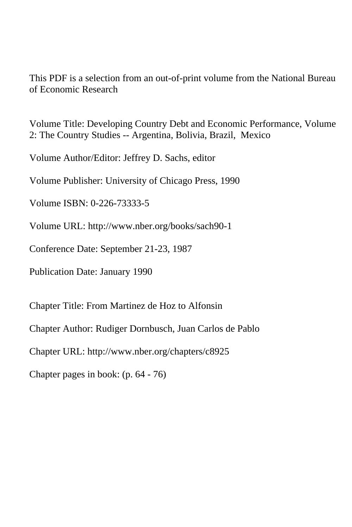This PDF is a selection from an out-of-print volume from the National Bureau of Economic Research

Volume Title: Developing Country Debt and Economic Performance, Volume 2: The Country Studies -- Argentina, Bolivia, Brazil, Mexico

Volume Author/Editor: Jeffrey D. Sachs, editor

Volume Publisher: University of Chicago Press, 1990

Volume ISBN: 0-226-73333-5

Volume URL: http://www.nber.org/books/sach90-1

Conference Date: September 21-23, 1987

Publication Date: January 1990

Chapter Title: From Martinez de Hoz to Alfonsin

Chapter Author: Rudiger Dornbusch, Juan Carlos de Pablo

Chapter URL: http://www.nber.org/chapters/c8925

Chapter pages in book: (p. 64 - 76)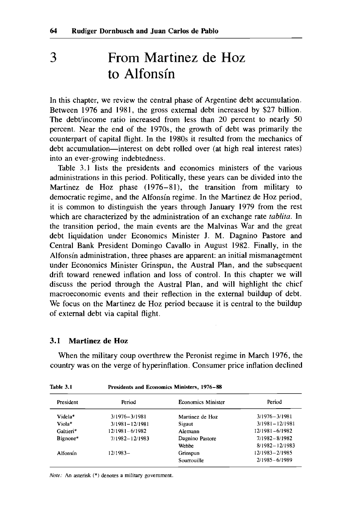# 3 From Martinez de Hoz to Alfonsin

In this chapter, we review the central phase of Argentine debt accumulation. Between 1976 and 1981, the gross external debt increased by \$27 billion. The debt/income ratio increased from less than 20 percent to nearly  $50$ percent. Near the end of the 1970s, the growth of debt was primarily the counterpart of capital flight. In the 1980s it resulted from the mechanics of debt accumulation-interest on debt rolled over (at high real interest rates) into an ever-growing indebtedness.

Table **3.1** lists the presidents and economics ministers of the various administrations in this period. Politically, these years can be divided into the Martinez de Hoz phase (1976-81), the transition from military to democratic regime, and the Alfonsin regime. In the Martinez de Hoz period, it is common to distinguish the years through January 1979 from the rest which are characterized by the administration of an exchange rate *tablita.* In the transition period, the main events are the Malvinas War and the great debt liquidation under Economics Minister J. M. Dagnino Pastore and Central Bank President Domingo Cavallo in August 1982. Finally, in the Alfonsin administration, three phases are apparent: an initial mismanagement under Economics Minister Grinspun, the Austral Plan, and the subsequent drift toward renewed inflation and loss of control. In this chapter we will discuss the period through the Austral Plan, and will highlight thc chicf macroeconomic events and their reflection in the external buildup of debt. We focus on the Martinez de Hoz period because **it** is central to the buildup of external debt via capital flight.

## **3.1 Martinez de Hoz**

When the military coup overthrew the Peronist regime in March 1976, the country was on the verge of hyperinflation. Consumer price inflation declined

| Table 3.1 | Presidents and Economics Ministers, 1976-88 |                           |                    |  |  |  |
|-----------|---------------------------------------------|---------------------------|--------------------|--|--|--|
| President | Period                                      | <b>Economics Minister</b> | Period             |  |  |  |
| Videla*   | $3/1976 - 3/1981$                           | Martinez de Hoz           | 3/1976 - 3/1981    |  |  |  |
| Viola*    | $3/1981 - 12/1981$                          | Sigaut                    | $3/1981 - 12/1981$ |  |  |  |
| Galtieri* | $12/1981 - 6/1982$                          | Alemann                   | 12/1981-6/1982     |  |  |  |
| Bignone*  | 7/1982-12/1983                              | Dagnino Pastore           | 7/1982-8/1982      |  |  |  |
|           |                                             | Wehbe                     | 8/1982-12/1983     |  |  |  |
| Alfonsín  | $12/1983 -$                                 | Grinspun                  | 12/1983-2/1985     |  |  |  |
|           |                                             | Sourrouille               | 2/1985-6/1989      |  |  |  |

Note: An asterisk (\*) denotes a military government.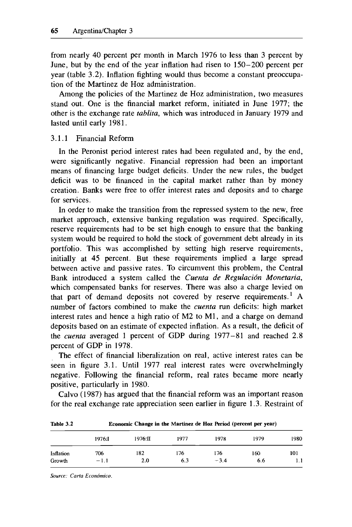from nearly 40 percent per month in March 1976 to less than 3 percent by June, but by the end of the year inflation had risen to 150-200 percent per year (table 3.2). Inflation fighting would thus become a constant preoccupation of the Martinez de Hoz administration.

Among the policies of the Martinez de Hoz administration, two measures stand out. One is the financial market reform, initiated in June 1977; the other is the exchange rate *tablita,* which was introduced in January 1979 and lasted until early 1981.

## 3.1.1 Financial Reform

In the Peronist period interest rates had been regulated and, by the end, were significantly negative. Financial repression had been an important means of financing large budget deficits. Under the new rules, the budget deficit was to be financed in the capital market rather than by money creation. Banks were free to offer interest rates and deposits and to charge for services.

In order to make the transition from the repressed system to the new, free market approach, extensive banking regulation was required. Specifically, reserve requirements had to be set high enough to ensure that the banking system would be required to hold the stock of government debt already in its portfolio. This was accomplished by setting high reserve requirements, initially at 45 percent. But these requirements implied a large spread between active and passive rates. To circumvent this problem, the Central Bank introduced a system called the *Cuenta de Regulacidn Monefaria,*  which compensated banks for reserves. There was also a charge levied on that part of demand deposits not covered by reserve requirements.' **A**  number of factors combined to make the *cuenfu* run deficits: high market interest rates and hence a high ratio of M2 to M1, and a charge on demand deposits based on an estimate of expected inflation. As a result, the deficit of the *cuentu* averaged 1 percent of GDP during 1977-81 and reached 2.8 percent of GDP in 1978.

The effect of financial liberalization on real, active interest rates can be seen in figure 3.1. Until 1977 real interest rates were overwhelmingly negative. Following the financial reform, real rates became more nearly positive, particularly in 1980.

Calvo (1987) has argued that the financial reform was an important reason for the real exchange rate appreciation seen earlier in figure 1.3. Restraint **of** 

| Table 3.2           | Economic Change in the Martinez de Hoz Period (percent per year) |            |            |              |            |      |  |
|---------------------|------------------------------------------------------------------|------------|------------|--------------|------------|------|--|
|                     | 1976.I                                                           | 1976:II    | 1977       | 1978         | 1979       | 1980 |  |
| Inflation<br>Growth | 706<br>$-1.1$                                                    | 182<br>2.0 | 176<br>6.3 | 176<br>$-34$ | 160<br>6.6 | 101  |  |

*Source: Carta Econdmico*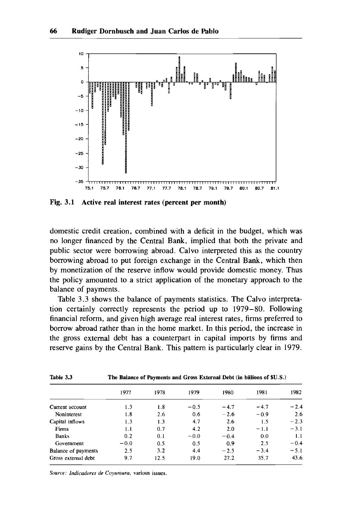

**Fig. 3.1 Active real interest rates (percent per month)** 

domestic credit creation, combined with a deficit in the budget, which was no longer financed by the Central Bank, implied that both the private and public sector were borrowing abroad. Calvo interpreted this **as** the country borrowing abroad to put foreign exchange in the Central Bank, which then by monetization of the reserve inflow would provide domestic money. Thus the policy amounted to a strict application of the monetary approach to the balance of payments.

Table **3.3** shows the balance of payments statistics. The Calvo interpretation certainly correctly represents the period up to 1979-80. Following financial reform, and given high average real interest rates, firms preferred to borrow abroad rather than in the home market. In this period, the increase in the gross external debt has a counterpart in capital imports by firms and reserve gains by the Central Bank. This pattern is particularly clear in 1979.

| Table 3.3           | The Balance of Payments and Gross External Debt (in billions of \$U.S.) |      |        |        |        |        |
|---------------------|-------------------------------------------------------------------------|------|--------|--------|--------|--------|
|                     | 1977                                                                    | 1978 | 1979   | 1980   | 1981   | 1982   |
| Current account     | 1.3                                                                     | 1.8  | $-0.5$ | $-4.7$ | $-4.7$ | $-2.4$ |
| Noninterest         | 1.8                                                                     | 2.6  | 0.6    | $-2.6$ | $-0.9$ | 2.6    |
| Capital inflows     | 1.3                                                                     | 1.3  | 4.7    | 2.6    | 1.5    | $-2.3$ |
| Firms               | 1.1                                                                     | 0.7  | 4.2    | 2.0    | $-1.1$ | $-3.1$ |
| <b>Banks</b>        | 0.2                                                                     | 0.1  | $-0.0$ | $-0.4$ | 0.0    | 1.1    |
| Government          | $-0.0$                                                                  | 0.5  | 0.5    | 0.9    | 2.5    | $-0.4$ |
| Balance of payments | 2.5                                                                     | 3.2  | 4.4    | $-2.5$ | $-3.4$ | $-5.1$ |
| Gross external debt | 97                                                                      | 12.5 | 19.0   | 27.2   | 35.7   | 43.6   |

Source: Indicadores de Coyuntura, various issues.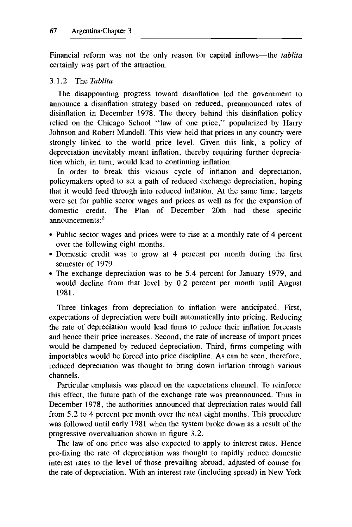Financial reform was not the only reason for capital inflows-the *tablita* certainly was part of the attraction.

# **3.1.2** The *Tablita*

The disappointing progress toward disinflation led the government to announce a disinflation strategy based on reduced, preannounced rates of disinflation in December 1978. The theory behind this disinflation policy relied on the Chicago School "law of one price," popularized by Harry Johnson and Robert Mundell. This view held that prices in any country were strongly linked to the world price level. Given this link, **a** policy of depreciation inevitably meant inflation, thereby requiring further depreciation which, in turn, would lead to continuing inflation.

In order to break this vicious cycle of inflation and depreciation, policymakers opted to set a path **of** reduced exchange depreciation, hoping that it would feed through into reduced inflation. At the same time, targets were set for public sector wages and prices as well as for the expansion of domestic credit. The Plan of December 20th had these specific announcements: $2$ 

- Public sector wages and prices were to rise at a monthly rate of 4 percent over the following eight months.
- Domestic credit was to grow at 4 percent per month during the first semester of 1979.
- The exchange depreciation was to be 5.4 percent for January 1979, and would decline from that level by 0.2 percent per month until August **1981.**

Three linkages from depreciation to inflation were anticipated. First, expectations of depreciation were built automatically into pricing. Reducing the rate **of** depreciation would lead firms to reduce their inflation forecasts and hence their price increases. Second, the rate of increase of import prices would be dampened **by** reduced depreciation. Third, firms competing with importables would be forced into price discipline. As can be seen, therefore, reduced depreciation was thought to bring down inflation through various channels.

Particular emphasis was placed on the expectations channel. To reinforce this effect, the future path of the exchange rate was preannounced. Thus in December 1978, the authorities announced that depreciation rates would fall from 5.2 to 4 percent per month over the next eight months. This procedure was followed until early 1981 when the system broke down as a result of the progressive overvaluation shown in figure 3.2.

The law of one price was also expected to apply to interest rates. Hence pre-fixing the rate of depreciation was thought to rapidly reduce domestic interest rates to the level of those prevailing abroad, adjusted **of** course for the rate of depreciation. With an interest rate (including spread) in New **York**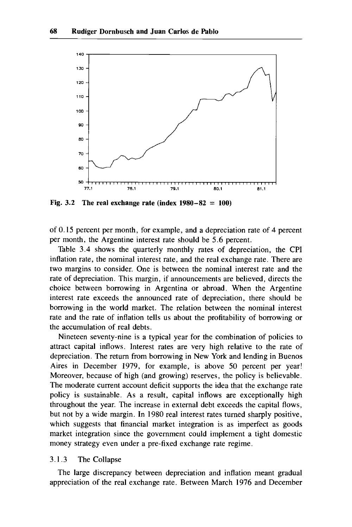

**Fig. 3.2** The real exchange rate (index  $1980-82 = 100$ )

of 0.15 percent per month, for example, and a depreciation rate of 4 percent per month, the Argentine interest rate should be 5.6 percent.

Table 3.4 shows the quarterly monthly rates of depreciation, the CPI inflation rate, the nominal interest rate, and the real exchange rate. There are two margins to consider. One is between the nominal interest rate and the rate of depreciation. This margin, if announcements are believed, directs the choice between borrowing in Argentina or abroad. When the Argentine interest rate exceeds the announced rate of depreciation, there should be borrowing in the world market. The relation between the nominal interest rate and the rate of inflation tells **us** about the profitability of borrowing or the accumulation of real debts.

Nineteen seventy-nine is a typical year for the combination of policies to attract capital inflows. Interest rates are very high relative to the rate of depreciation. The return from borrowing in New **York** and lending in Buenos Aires in December 1979, for example, is above 50 percent per year! Moreover, because of high (and growing) reserves, the policy **is** believable. The moderate current account deficit supports the idea that the exchange rate policy is sustainable. As a result, capital inflows are exceptionally high throughout the year. The increase in external debt exceeds the capital flows, but not by a wide margin. In 1980 real interest rates turned sharply positive, which suggests that financial market integration is as imperfect as goods market integration since the government could implement a tight domestic money strategy even under a pre-fixed exchange rate regime.

#### **3.1.3** The Collapse

The large discrepancy between depreciation and inflation meant gradual appreciation of the real exchange rate. Between March 1976 and December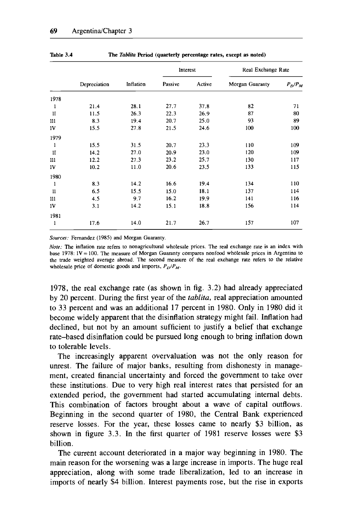|              |              | Inflation | Interest |        | Real Exchange Rate |           |  |
|--------------|--------------|-----------|----------|--------|--------------------|-----------|--|
|              | Depreciation |           | Passive  | Active | Morgan Guaranty    | $P_D/P_M$ |  |
| 1978         |              |           |          |        |                    |           |  |
| 1            | 21.4         | 28.1      | 27.7     | 37.8   | 82                 | 71        |  |
| $\mathbf{I}$ | 11.5         | 26.3      | 22.3     | 26.9   | 87                 | 80        |  |
| 111          | 8.3          | 19.4      | 20.7     | 25.0   | 93                 | 89        |  |
| 1V           | 15.5         | 27.8      | 21.5     | 24.6   | 100                | 100       |  |
| 1979         |              |           |          |        |                    |           |  |
| 1            | 15.5         | 31.5      | 20.7     | 23.3   | 110                | 109       |  |
| $\mathbf{I}$ | 14.2         | 27.0      | 20.9     | 23.0   | 120                | 109       |  |
| 111          | 12.2         | 27.3      | 23.2     | 25.7   | 130                | 117       |  |
| 1V           | 10.2         | 11.0      | 20.6     | 23.5   | 133                | 115       |  |
| 1980         |              |           |          |        |                    |           |  |
| 1            | 8.3          | 14.2      | 16.6     | 19.4   | 134                | 110       |  |
| 11           | 6.5          | 15.5      | 15.0     | 18.1   | 137                | 114       |  |
| 111          | 4.5          | 9.7       | 16.2     | 19.9   | 141                | 116       |  |
| 1V           | 3.1          | 14.2      | 15.1     | 18.8   | 156                | 114       |  |
| 1981         |              |           |          |        |                    |           |  |
| ı            | 17.6         | 14.0      | 21.7     | 26.7   | 157                | 107       |  |

**Table 3.4 The** *Tublita* **Period (quarterly percentage rates, except as noted)** 

*Sources:* Fernandez **(1985)** and Morgan Guaranty.

*Note:* The inflation rate refers to nonagricultural wholesale prices. The real exchange rate is an index with base **1978: IV** = **100.** The measure of Morgan Guaranty compares nonfood wholesale prices in Argentina to the trade weighted average abroad. The second measure of the real exchange rate refers to the relative wholesale price of domestic goods and imports,  $P_D/P_M$ .

1978, the real exchange rate (as shown in fig. 3.2) had already appreciated by 20 percent. During the first year of the *tublitu,* real appreciation amounted to **33** percent and was an additional 17 percent in 1980. Only in 1980 did it become widely apparent that the disinflation strategy might fail. Inflation had declined, but not by an amount sufficient to justify a belief that exchange rate-based disinflation could be pursued long enough to bring inflation down to tolerable levels.

The increasingly apparent overvaluation was not the only reason for unrest. The failure of major banks, resulting from dishonesty in management, created financial uncertainty and forced the government to take over these institutions. Due to very high real interest rates that persisted for an extended period, the government had started accumulating internal debts. This combination of factors brought about a wave of capital outflows. Beginning in the second quarter of 1980, the Central Bank experienced reserve losses. For the year, these losses came to nearly \$3 billion, as shown in figure 3.3. In the first quarter of 1981 reserve losses were \$3 billion.

The current account deteriorated in a major way beginning in 1980. The main reason for the worsening was a large increase in imports. The huge real appreciation, along with some trade liberalization, led to an increase in imports of nearly \$4 billion. Interest payments rose, but the rise in exports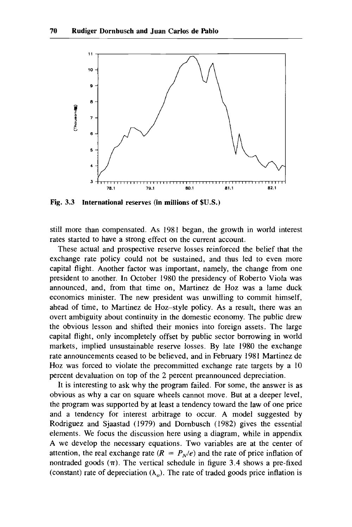

**Fig. 3.3 International reserves (in millions of \$U.S.)** 

still more than compensated. **As** 1981 began, the growth in world interest rates started to have a strong effect on the current account.

These actual and prospective reserve losses reinforced the belief that the exchange rate policy could not be sustained, and thus led to even more capital flight. Another factor was important, namely, the change from one president to another. In October 1980 the presidency of Roberto Viola was announced, and, from that time on, Martinez de **Hoz** was a lame duck economics minister. The new president was unwilling to commit himself, ahead of time, to Martinez de Hoz-style policy. **As** a result, there was an overt ambiguity about continuity in the domestic economy. The public drew the obvious lesson and shifted their monies into foreign assets. The large capital flight, only incompletely offset by public sector borrowing in world markets, implied unsustainable reserve losses. By late 1980 the exchange rate announcements ceased to be believed, and in February 1981 Martinez de Hoz was forced to violate the precommitted exchange rate targets by a 10 percent devaluation on top of the *2* percent preannounced depreciation.

It is interesting to ask why the program failed. For some, the answer is as obvious as why a car on square wheels cannot move. But at a deeper level, the program was supported by at least a tendency toward the law of one price and a tendency for interest arbitrage to occur. A model suggested by Rodriguez and Sjaastad (1979) and Dornbusch (1982) gives the essential elements. We focus the discussion here using a diagram, while in appendix A we develop the necessary equations. Two variables are at the center of attention, the real exchange rate  $(R = P_N/e)$  and the rate of price inflation of nontraded goods  $(\pi)$ . The vertical schedule in figure 3.4 shows a pre-fixed (constant) rate of depreciation  $(\lambda_o)$ . The rate of traded goods price inflation is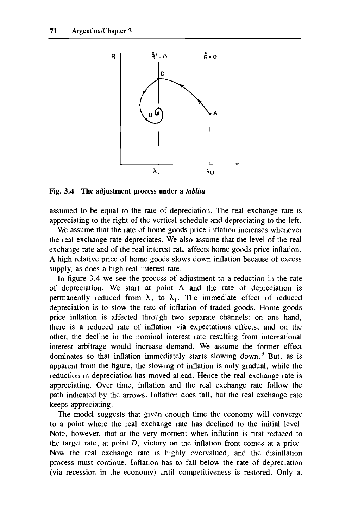

#### **Fig. 3.4** The adjustment process under a *tublita*

assumed to be equal to the rate of depreciation. The real exchange rate is appreciating to the right of the vertical schedule and depreciating to the left.

We assume that the rate of home goods price inflation increases whenever the real exchange rate depreciates. We also assume that the level of the real exchange rate and of the real interest rate affects home goods price inflation. **A** high relative price of home goods slows down inflation because of excess supply, as does a high real interest rate.

In figure **3.4** we see the process of adjustment to a reduction in the rate of depreciation. We start at point **A** and the rate of depreciation is permanently reduced from  $\lambda_0$  to  $\lambda_1$ . The immediate effect of reduced depreciation is to slow the rate of inflation of traded goods. Home goods price inflation is affected through two separate channels: on one hand, there is a reduced rate of inflation via expectations effects, and on the other, the decline in the nominal interest rate resulting from international interest arbitrage would increase demand. We assume the former effect dominates so that inflation immediately starts slowing down.<sup>3</sup> But, as is apparent from the figure, the slowing of inflation is only gradual, while the reduction in depreciation has moved ahead. Hence the real exchange rate is appreciating. Over time, inflation and the real exchange rate follow the path indicated by the arrows. Inflation does fall, but the real exchange rate keeps appreciating.

The model suggests that given enough time the economy will converge to a point where the real exchange rate has declined to the initial level. Note, however, that at the very moment when inflation is first reduced to the target rate, at point *D,* victory on the inflation front comes at a price. Now the real exchange rate is highly overvalued, and the disinflation process must continue. Inflation has to fall below the rate of depreciation (via recession in the economy) until competitiveness is restored. Only at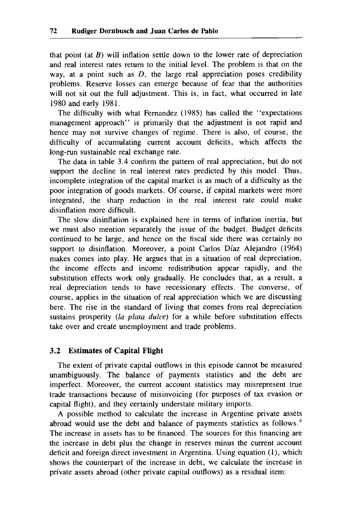that point (at *B)* will inflation settle down to the lower rate of depreciation and real interest rates return to the initial level. The problem is that on the way, at a point such as *D*, the large real appreciation poses credibility problems. Reserve losses can emerge because of fear that the authorities will not sit out the full adjustment. This is, in fact, what occurred in late 1980 and early 1981.

The difficulty with what Fernandez (1985) has called the "expectations management approach" is primarily that the adjustment is not rapid and hence may not survive changes of regime. There is also, of course, the difficulty of accumulating current account deficits, which affects the long-run sustainable real exchange rate.

The data in table 3.4 confirm the pattern of real appreciation, but do not support the decline in real interest rates predicted by this model. Thus, incomplete integration of the capital market is as much of a difficulty as the poor integration of goods markets. Of course, if capital markets were more integrated, the sharp reduction in the real interest rate could make disinflation more difficult.

The slow disinflation is explained here in terms of inflation inertia, but we must also mention separately the issue of the budget. Budget deficits continued to be large, and hence on the fiscal side there was certainly no support to disinflation. Moreover, a point Carlos Diaz Alejandro (1964) makes comes into play. He argues that in a situation of real depreciation, the income effects and income redistribution appear rapidly, and the substitution effects work only gradually. He concludes that, as a result, a real depreciation tends to have recessionary effects. The converse, of course, applies in the situation of real appreciation which we are discussing here. The rise in the standard of living that comes from real depreciation sustains prosperity (la plata dulce) for a while before substitution effects take over and create unemployment and trade problems.

## **3.2 Estimates of Capital Flight**

The extent of private capital outflows in this episode cannot be measured unambiguously. The balance of payments statistics and the debt are imperfect. Moreover, the current account statistics may misrepresent true trade transactions because of misinvoicing (for purposes of tax evasion or capital flight), and they certainly understate military imports.

A possible method to calculate the increase in Argentine private assets abroad would use the debt and balance of payments statistics as follows. $4$ The increase in assets has to be financed. The sources for this financing are the increase in debt plus the change in reserves minus the current account deficit and foreign direct investment in Argentina. Using equation (l), which shows the counterpart of the increase in debt, we calculate the increase in private assets abroad (other private capital outflows) as a residual item: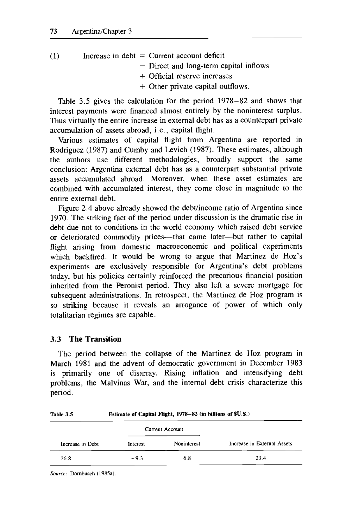- **(1)** Increase in debt = Current account deficit
	- Direct and long-term capital inflows
	- + Official reserve increases
	- + Other private capital outflows.

Table 3.5 gives the calculation for the period 1978-82 and shows that interest payments were financed almost entirely by the noninterest surplus. Thus virtually the entire increase in external debt has as a counterpart private accumulation of assets abroad, i.e., capital flight.

Various estimates of capital flight from Argentina are reported in Rodriguez (1987) and Cumby and Levich (1987). These estimates, although the authors use different methodologies, broadly support the same conclusion: Argentina external debt has as a counterpart substantial private assets accumulated abroad. Moreover, when these asset estimates are combined with accumulated interest, they come close in magnitude to the entire external debt.

Figure 2.4 above already showed the debVincome ratio of Argentina since 1970. The striking fact of the period under discussion is the dramatic rise in debt due not to conditions in the world economy which raised debt service or deteriorated commodity prices—that came later—but rather to capital flight arising from domestic macroeconomic and political experiments which backfired. It would be wrong to argue that Martinez de Hoz's experiments are exclusively responsible for Argentina's debt problems today, but his policies certainly reinforced the precarious financial position inherited from the Peronist period. They also left a severe mortgage for subsequent administrations. In retrospect, the Martinez de Hoz program is so striking because it reveals an arrogance of power of which only totalitarian regimes are capable.

## **3.3 The Transition**

The period between the collapse of the Martinez de Hoz program in March 1981 and the advent of democratic government in December 1983 is primarily one of disarray. Rising inflation and intensifying debt problems, the Malvinas War, and the internal debt crisis characterize this period.

|                  |          | Current Account |                             |
|------------------|----------|-----------------|-----------------------------|
| Increase in Debt | Interest | Noninterest     | Increase in External Assets |
| 26.8             | $-9.3$   | 6.8             | 23.4                        |

**Table 3.5 Estimate of Capital Flight, 1978-82 (in billions of \$U.S.)** 

Source: Dornbusch (1985a).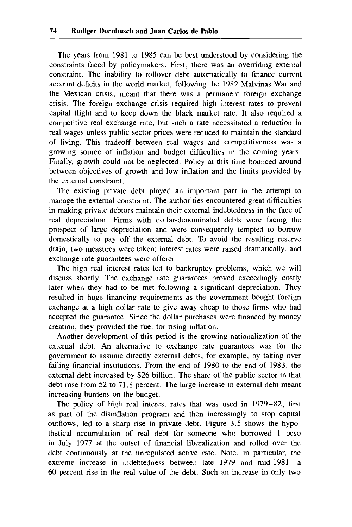The years from 1981 to 1985 can be best understood by considering the constraints faced by policymakers. First, there was an overriding external constraint. The inability to rollover debt automatically to finance current account deficits in the world market, following the 1982 Malvinas War and the Mexican crisis, meant that there was a permanent foreign exchange crisis. The foreign exchange crisis required high interest rates to prevent capital flight and to keep down the black market rate. It also required a competitive real exchange rate, but such a rate necessitated a reduction in real wages unless public sector prices were reduced to maintain the standard of living. This tradeoff between real wages and competitiveness was a growing source of inflation and budget difficulties in the coming years. Finally, growth could not be neglected. Policy at this time bounced around between objectives of growth and low inflation and the limits provided by the external constraint.

The existing private debt played an important part in the attempt to manage the external constraint. The authorities encountered great difficulties in making private debtors maintain their external indebtedness in the face of real depreciation. Firms with dollar-denominated debts were facing the prospect of large depreciation and were consequently tempted to borrow domestically to pay off the external debt. To avoid the resulting reserve drain, two measures were taken: interest rates were raised dramatically, and exchange rate guarantees were offered.

The high real interest rates led to bankruptcy problems, which we will discuss shortly. The exchange rate guarantees proved exceedingly costly later when they had to be met following a significant depreciation. They resulted in huge financing requirements as the government bought foreign exchange at a high dollar rate to give away cheap to those firms who had accepted the guarantee. Since the dollar purchases were financed by money creation, they provided the fuel for rising inflation.

Another development of this period is the growing nationalization of the external debt. An alternative to exchange rate guarantees was for the government to assume directly external debts, for example, by taking over failing financial institutions. From the end of 1980 to the end of 1983, the external debt increased by \$26 billion. The share of the public sector in that debt rose from 52 to 71.8 percent. The large increase in external debt meant increasing burdens on the budget.

The policy of high real interest rates that was used in 1979-82, first as part of the disinflation program and then increasingly to stop capital outflows, led to a sharp rise in private debt. Figure 3.5 shows the hypothetical accumulation of real debt for someone who borrowed **1** peso in July 1977 at the outset of financial liberalization and rolled over the debt continuously at the unregulated active rate. Note, in particular, the extreme increase in indebtedness between late 1979 and mid-1981-a **60** percent rise in the real value of the debt. Such an increase in only two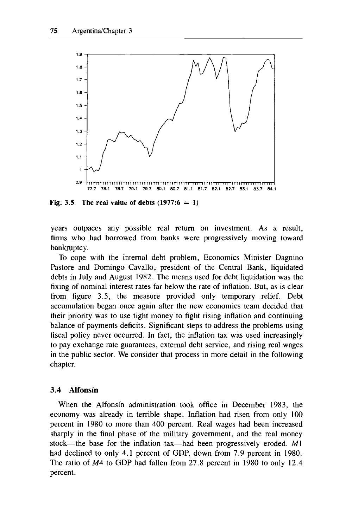

**Fig. 3.5** The real value of debts  $(1977:6 = 1)$ 

years outpaces any possible real return on investment. **As** a result, firms who had borrowed from banks were progressively moving toward bankruptcy.

To cope with the internal debt problem, Economics Minister Dagnino Pastore and Domingo Cavallo, president of the Central Bank, liquidated debts in July and August 1982. The means used for debt liquidation was the fixing of nominal interest rates far below the rate of inflation. But, as **is** clear from figure 3.5, the measure provided only temporary relief. Debt accumulation began once again after the new economics team decided that their priority was to use tight money to fight rising inflation and continuing balance of payments deficits. Significant steps to address the problems using fiscal policy never occurred. In fact, the inflation tax was used increasingly to pay exchange rate guarantees, external debt service, and rising real wages in the public sector. We consider that process in more detail in the following chapter.

## **3.4 Alfonsin**

When the Alfonsin administration took office in December 1983, the economy was already in terrible shape. Inflation had risen from only 100 percent in 1980 to more than 400 percent. Real wages had been increased sharply in the final phase of the military government, and the real money stock—the base for the inflation tax—had been progressively eroded.  $M1$ had declined to only 4.1 percent of GDP, down from 7.9 percent in 1980. The ratio of M4 to GDP had fallen from 27.8 percent in 1980 to only 12.4 percent.